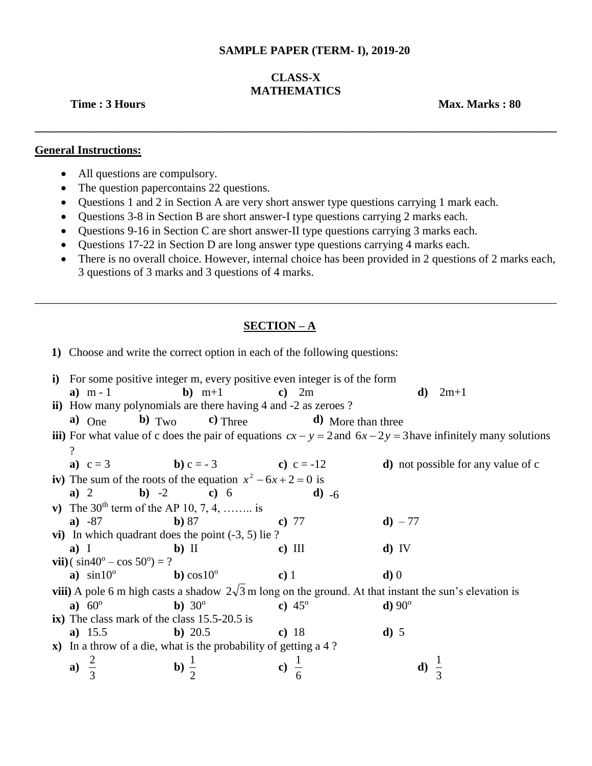#### **SAMPLE PAPER (TERM- I), 2019-20**

# **CLASS-X MATHEMATICS**

**\_\_\_\_\_\_\_\_\_\_\_\_\_\_\_\_\_\_\_\_\_\_\_\_\_\_\_\_\_\_\_\_\_\_\_\_\_\_\_\_\_\_\_\_\_\_\_\_\_\_\_\_\_\_\_\_\_\_\_\_\_\_\_\_\_\_\_\_\_\_\_\_\_\_\_\_\_\_\_\_\_\_\_\_\_\_\_\_\_\_**

**Time : 3 Hours Max. Marks : 80** 

## **General Instructions:**

- All questions are compulsory.
- The question papercontains 22 questions.
- Questions 1 and 2 in Section A are very short answer type questions carrying 1 mark each.
- Questions 3-8 in Section B are short answer-I type questions carrying 2 marks each.
- Questions 9-16 in Section C are short answer-II type questions carrying 3 marks each.
- Questions 17-22 in Section D are long answer type questions carrying 4 marks each.
- There is no overall choice. However, internal choice has been provided in 2 questions of 2 marks each, 3 questions of 3 marks and 3 questions of 4 marks.

\_\_\_\_\_\_\_\_\_\_\_\_\_\_\_\_\_\_\_\_\_\_\_\_\_\_\_\_\_\_\_\_\_\_\_\_\_\_\_\_\_\_\_\_\_\_\_\_\_\_\_\_\_\_\_\_\_\_\_\_\_\_\_\_\_\_\_\_\_\_\_\_\_\_\_\_\_\_\_\_\_\_\_\_\_\_\_\_\_\_

## **SECTION – A**

**1)** Choose and write the correct option in each of the following questions:

|                                                                                                               | i) For some positive integer m, every positive even integer is of the form                                        |                                                                        |                 |                                            |  |  |  |  |  |  |
|---------------------------------------------------------------------------------------------------------------|-------------------------------------------------------------------------------------------------------------------|------------------------------------------------------------------------|-----------------|--------------------------------------------|--|--|--|--|--|--|
|                                                                                                               | a) $m-1$                                                                                                          | $\mathbf{b})$ m+1                                                      | c) $2m$         | <b>d</b> ) $2m+1$                          |  |  |  |  |  |  |
|                                                                                                               |                                                                                                                   | <b>ii</b> ) How many polynomials are there having 4 and -2 as zeroes ? |                 |                                            |  |  |  |  |  |  |
|                                                                                                               |                                                                                                                   | a) One b) $T_{\text{WO}}$ c) Three<br>$\mathbf{d}$ ) More than three   |                 |                                            |  |  |  |  |  |  |
|                                                                                                               | iii) For what value of c does the pair of equations $cx - y = 2$ and $6x - 2y = 3$ have infinitely many solutions |                                                                        |                 |                                            |  |  |  |  |  |  |
| $\overline{\mathcal{L}}$                                                                                      |                                                                                                                   |                                                                        |                 |                                            |  |  |  |  |  |  |
|                                                                                                               |                                                                                                                   | <b>a</b> ) $c = 3$ <b>b</b> ) $c = -3$ <b>c</b> ) $c = -12$            |                 | <b>d</b> ) not possible for any value of c |  |  |  |  |  |  |
| iv) The sum of the roots of the equation $x^2 - 6x + 2 = 0$ is                                                |                                                                                                                   |                                                                        |                 |                                            |  |  |  |  |  |  |
|                                                                                                               | a) 2                                                                                                              | <b>b</b> ) $-2$ <b>c</b> ) 6                                           | <b>d</b> ) $-6$ |                                            |  |  |  |  |  |  |
|                                                                                                               |                                                                                                                   | v) The $30^{th}$ term of the AP 10, 7, 4,  is                          |                 |                                            |  |  |  |  |  |  |
|                                                                                                               | $a) -87$                                                                                                          | b) 87                                                                  | c) $77$         | <b>d</b> ) $-77$                           |  |  |  |  |  |  |
| vi) In which quadrant does the point $(-3, 5)$ lie?                                                           |                                                                                                                   |                                                                        |                 |                                            |  |  |  |  |  |  |
|                                                                                                               | $a)$ I                                                                                                            | $\mathbf{b})$ II                                                       | $c)$ III        | $d)$ IV                                    |  |  |  |  |  |  |
| <b>vii</b> )( $\sin 40^\circ - \cos 50^\circ = ?$                                                             |                                                                                                                   |                                                                        |                 |                                            |  |  |  |  |  |  |
|                                                                                                               | <b>a</b> ) $\sin 10^\circ$ <b>b</b> ) $\cos 10^\circ$                                                             | $\bf c)$ 1                                                             |                 | d)0                                        |  |  |  |  |  |  |
| viii) A pole 6 m high casts a shadow $2\sqrt{3}$ m long on the ground. At that instant the sun's elevation is |                                                                                                                   |                                                                        |                 |                                            |  |  |  |  |  |  |
|                                                                                                               | <b>a</b> ) $60^{\circ}$                                                                                           | <b>b</b> ) $30^{\circ}$                                                | c) $45^{\circ}$ | $d) 90^\circ$                              |  |  |  |  |  |  |
| ix) The class mark of the class 15.5-20.5 is                                                                  |                                                                                                                   |                                                                        |                 |                                            |  |  |  |  |  |  |
|                                                                                                               | a) $15.5$                                                                                                         | b) 20.5                                                                | c) $18$         | d) 5                                       |  |  |  |  |  |  |
|                                                                                                               | $\mathbf{x}$ ) In a throw of a die, what is the probability of getting a 4 ?                                      |                                                                        |                 |                                            |  |  |  |  |  |  |
|                                                                                                               | a)                                                                                                                | b) $\frac{1}{2}$                                                       |                 | d) $\frac{1}{2}$                           |  |  |  |  |  |  |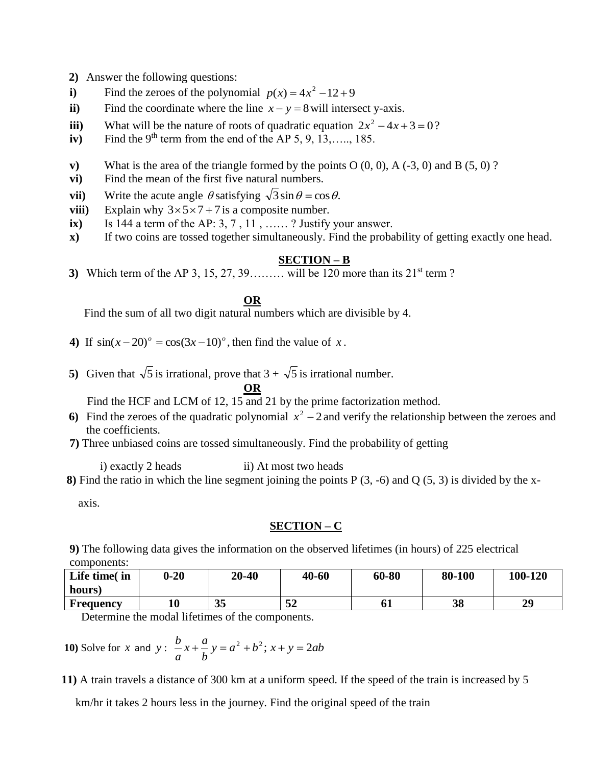- **2)** Answer the following questions:
- **i**) Find the zeroes of the polynomial  $p(x) = 4x^2 12 + 9$
- ii) Find the coordinate where the line  $x y = 8$  will intersect y-axis.
- **iii**) What will be the nature of roots of quadratic equation  $2x^2 4x + 3 = 0$ ?
- $iv)$  Find the 9<sup>th</sup> term from the end of the AP 5, 9, 13,…., 185.
- **v**) What is the area of the triangle formed by the points  $O(0, 0)$ ,  $A(-3, 0)$  and  $B(5, 0)$ ?
- **vi)** Find the mean of the first five natural numbers.
- **vii**) Write the acute angle  $\theta$  satisfying  $\sqrt{3} \sin \theta = \cos \theta$ .
- **viii**) Explain why  $3 \times 5 \times 7 + 7$  is a composite number.
- $\mathbf{i}$ **x**) Is 144 a term of the AP: 3, 7, 11, ...... ? Justify your answer.
- **x)** If two coins are tossed together simultaneously. Find the probability of getting exactly one head.

## **SECTION – B**

**3)** Which term of the AP 3, 15, 27, 39……… will be 120 more than its  $21^{st}$  term ?

#### **OR**

Find the sum of all two digit natural numbers which are divisible by 4.

- 4) If  $\sin(x-20)^\circ = \cos(3x-10)^\circ$ , then find the value of x.
- **5**) Given that  $\sqrt{5}$  is irrational, prove that  $3 + \sqrt{5}$  is irrational number. **OR**

Find the HCF and LCM of 12, 15 and 21 by the prime factorization method.

- 6) Find the zeroes of the quadratic polynomial  $x^2 2$  and verify the relationship between the zeroes and the coefficients.
- **7)** Three unbiased coins are tossed simultaneously. Find the probability of getting

i) exactly 2 heads ii) At most two heads

**8)** Find the ratio in which the line segment joining the points  $P(3, -6)$  and  $Q(5, 3)$  is divided by the x-

axis.

## **SECTION – C**

**9)** The following data gives the information on the observed lifetimes (in hours) of 225 electrical components:

| Life time(in     | $0 - 20$ | 20-40 | 40-60 | 60-80 | 80-100 | 100-120 |
|------------------|----------|-------|-------|-------|--------|---------|
| hours)           |          |       |       |       |        |         |
| <b>Frequency</b> | 10       | 35    | 52    | 61    | 38     | 29      |

Determine the modal lifetimes of the components.

**10**) Solve for *x* and *y* : 
$$
\frac{b}{a}x + \frac{a}{b}y = a^2 + b^2
$$
;  $x + y = 2ab$ 

 **11)** A train travels a distance of 300 km at a uniform speed. If the speed of the train is increased by 5

km/hr it takes 2 hours less in the journey. Find the original speed of the train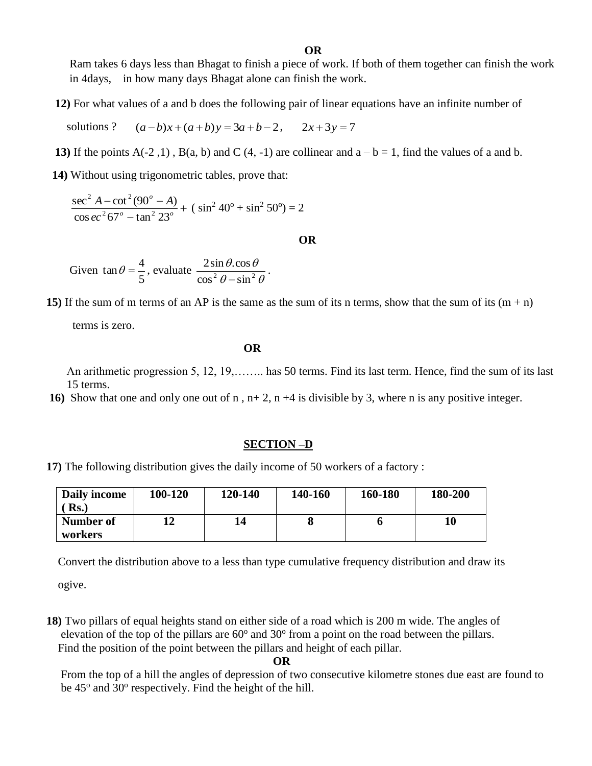Ram takes 6 days less than Bhagat to finish a piece of work. If both of them together can finish the work in 4days, in how many days Bhagat alone can finish the work.

**12)** For what values of a and b does the following pair of linear equations have an infinite number of

solutions ?  $(a-b)x+(a+b)y=3a+b-2$ ,  $2x+3y=7$ 

- **13)** If the points  $A(-2, 1)$ ,  $B(a, b)$  and C  $(4, -1)$  are collinear and  $a b = 1$ , find the values of a and b.
- **14)** Without using trigonometric tables, prove that:

$$
\frac{\sec^2 A - \cot^2(90^\circ - A)}{\cos ec^2 67^\circ - \tan^2 23^\circ} + (\sin^2 40^\circ + \sin^2 50^\circ) = 2
$$

**OR** 

Given 
$$
\tan \theta = \frac{4}{5}
$$
, evaluate  $\frac{2 \sin \theta \cdot \cos \theta}{\cos^2 \theta - \sin^2 \theta}$ .

**15)** If the sum of m terms of an AP is the same as the sum of its n terms, show that the sum of its  $(m + n)$ 

terms is zero.

### **OR**

 An arithmetic progression 5, 12, 19,…….. has 50 terms. Find its last term. Hence, find the sum of its last 15 terms.

 **16)** Show that one and only one out of n , n+ 2, n +4 is divisible by 3, where n is any positive integer.

#### **SECTION –D**

 **17)** The following distribution gives the daily income of 50 workers of a factory :

| Daily income   | 100-120 | 120-140 | 140-160 | 160-180 | 180-200 |
|----------------|---------|---------|---------|---------|---------|
| $\mathbf{Rs.}$ |         |         |         |         |         |
| Number of      |         | 14      |         |         | 10      |
| workers        |         |         |         |         |         |

Convert the distribution above to a less than type cumulative frequency distribution and draw its

ogive.

 **18)** Two pillars of equal heights stand on either side of a road which is 200 m wide. The angles of elevation of the top of the pillars are  $60^{\circ}$  and  $30^{\circ}$  from a point on the road between the pillars. Find the position of the point between the pillars and height of each pillar.

#### **OR**

From the top of a hill the angles of depression of two consecutive kilometre stones due east are found to be 45° and 30° respectively. Find the height of the hill.

**OR**